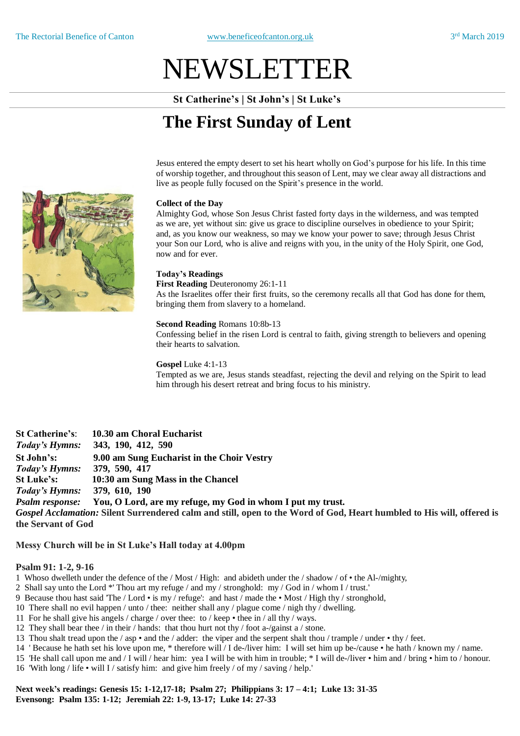# NEWSLETTER

**St Catherine's | St John's | St Luke's**

# **The First Sunday of Lent**

Jesus entered the empty desert to set his heart wholly on God's purpose for his life. In this time of worship together, and throughout this season of Lent, may we clear away all distractions and live as people fully focused on the Spirit's presence in the world.

#### **Collect of the Day**

Almighty God, whose Son Jesus Christ fasted forty days in the wilderness, and was tempted as we are, yet without sin: give us grace to discipline ourselves in obedience to your Spirit; and, as you know our weakness, so may we know your power to save; through Jesus Christ your Son our Lord, who is alive and reigns with you, in the unity of the Holy Spirit, one God, now and for ever.

#### **Today's Readings**

**First Reading** Deuteronomy 26:1-11

As the Israelites offer their first fruits, so the ceremony recalls all that God has done for them, bringing them from slavery to a homeland.

#### **Second Reading** Romans 10:8b-13

Confessing belief in the risen Lord is central to faith, giving strength to believers and opening their hearts to salvation.

**Gospel** Luke 4:1-13

Tempted as we are, Jesus stands steadfast, rejecting the devil and relying on the Spirit to lead him through his desert retreat and bring focus to his ministry.

**St Catherine's**: **10.30 am Choral Eucharist**  *Today's Hymns:* **343, 190, 412, 590 St John's: 9.00 am Sung Eucharist in the Choir Vestry** *Today's Hymns:* **379, 590, 417 St Luke's: 10:30 am Sung Mass in the Chancel** *Today's Hymns:* **379, 610, 190** *Psalm response:* **You, O Lord, are my refuge, my God in whom I put my trust.** *Gospel Acclamation:* **Silent Surrendered calm and still, open to the Word of God, Heart humbled to His will, offered is the Servant of God**

**Messy Church will be in St Luke's Hall today at 4.00pm** 

#### **Psalm 91: 1-2, 9-16**

1 Whoso dwelleth under the defence of the / Most / High: and abideth under the / shadow / of • the Al-/mighty,

2 Shall say unto the Lord \*' Thou art my refuge / and my / stronghold: my / God in / whom I / trust.'

- 9 Because thou hast said 'The / Lord is my / refuge': and hast / made the Most / High thy / stronghold,
- 10 There shall no evil happen / unto / thee: neither shall any / plague come / nigh thy / dwelling.
- 11 For he shall give his angels / charge / over thee: to / keep thee in / all thy / ways.
- 12 They shall bear thee / in their / hands: that thou hurt not thy / foot a-/gainst a / stone.
- 13 Thou shalt tread upon the / asp and the / adder: the viper and the serpent shalt thou / trample / under thy / feet.
- 14 ' Because he hath set his love upon me, \* therefore will / I de-/liver him: I will set him up be-/cause he hath / known my / name.
- 15 'He shall call upon me and / I will / hear him: yea I will be with him in trouble; \* I will de-/liver him and / bring him to / honour. 16 'With long / life • will I / satisfy him: and give him freely / of my / saving / help.'

**Next week's readings: Genesis 15: 1-12,17-18; Psalm 27; Philippians 3: 17 – 4:1; Luke 13: 31-35 Evensong: Psalm 135: 1-12; Jeremiah 22: 1-9, 13-17; Luke 14: 27-33**